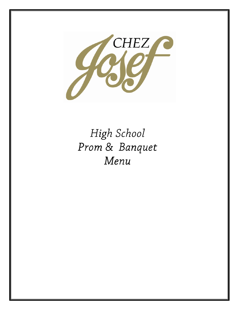

# High School Prom & Banquet Menu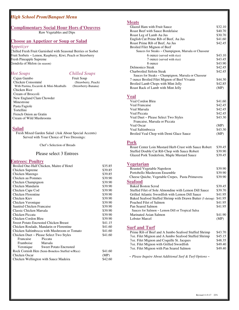# *High School Prom/Banquet Menu*

# **Complimentary Social Hour Hors d'Oeuvres**

Raw Vegetables and Dips

# **Choose an Appetizer or Soup or Salad**

#### *Appetizer*

Chilled Fresh Fruit Garnished with Seasonal Berries or Sorbet Fruit Sorbets ~ Lemon, Raspberry, Kiwi, Peach or Strawberry Fresh Pineapple Supreme Gondola of Melon (in season)

*Hot Soups Chilled Soups* Cajun Gumbo Fruit Soup Chicken Consommé (Strawberry, Peach)<br>With Pastina, Escarole & Mini-Meatballs (Strawberry-Banana) With Pastina, Escarole & Mini-Meatballs Chicken Rice Cream of Broccoli New England Clam Chowder Minestrone Pasta Fagiole Tortellini French Onion au Gratin Cream of Wild Mushrooms

#### **Salad**

Fresh Mixed Garden Salad (Ask About Special Accents) Served with Your Choice of Two Dressings:

Chef's Selection of Breads

## Please select 3 Entrees

# **Entrees: Poultry**

| Broiled One-Half Chicken, Maitre d'Hotel        | \$35.85 |
|-------------------------------------------------|---------|
| Chicken Supreme                                 | \$39.85 |
| Chicken Marengo                                 | \$39.85 |
| Chicken au Pommes                               | \$39.90 |
| Chicken Champignon                              | \$39.90 |
| Chicken Mandarin                                | \$39.90 |
| Chicken Cape Cod                                | \$39.90 |
| Chicken Florentine                              | \$39.90 |
| Chicken Kiev                                    | \$39.90 |
| Chicken Veronique                               | \$39.90 |
| Sautéed Chicken Francaise                       | \$39.90 |
| Classic Chicken Marsala                         | \$39.90 |
| Chicken Piccata                                 | \$39.90 |
| Chicken Cordon Bleu                             | \$39.90 |
| <b>Sweet Potato Encrusted Chicken Breast</b>    | \$41.15 |
| Chicken Roulade, Mandarin or Florentine         | \$41.60 |
| Chicken Saltimbocca with Mushroom or Tomato     | \$41.60 |
| Chicken Duet ~ Please Select Two Styles         | \$41.60 |
| Francaise<br>Piccata                            |         |
| Framboise<br>Marsala                            |         |
| Veronique Sweet Potato Encrusted                |         |
| Rock Cornish Hen (Semi-Boneless Stuffed w/Rice) | \$41.60 |
| Chicken Oscar                                   | (MP)    |
| Chicken Wellington with Sauce Madeira           | \$42.60 |

## **M**

| <b>Meats</b>                                                      |         |
|-------------------------------------------------------------------|---------|
| Glazed Ham with Fruit Sauce                                       | \$32.10 |
| Roast Beef with Sauce Bordelaise                                  | \$40.70 |
| Roast Leg of Lamb Au Jus                                          | \$30.70 |
| English Cut Prime Rib of Beef, Au Jus                             | \$41.60 |
| Roast Prime Rib of Beef, Au Jus                                   | \$42.45 |
| Broiled Filet Mignon of Beef                                      |         |
| Sauces for Steaks ~ Champignon, Marsala or Chasseur               |         |
| 6 ounce (served with rice)                                        | \$43.10 |
| 7 ounce (served with rice)                                        | \$43.45 |
| 8 ounce                                                           | \$43.90 |
| Delmonico Steak                                                   | \$42.45 |
| Charbroiled Sirloin Steak                                         | \$42.45 |
| Sauces for Steaks ~ Champignon, Marsala or Chasseur               |         |
| 7 ounce Broiled Filet Mignon of Beef Vivante                      | \$44.30 |
| Broiled Lamb Chops with Mint Jelly                                | \$42.85 |
| Roast Rack of Lamb with Mint Jelly                                | (MP)    |
|                                                                   |         |
| <b>Veal</b>                                                       |         |
| Veal Cordon Bleu                                                  | \$41.60 |
| <b>Veal Francaise</b>                                             | \$42.45 |
| Veal Marsala                                                      | \$42.45 |
| Veal Piccata                                                      | \$42.45 |
| Veal Duet ~ Please Select Two Styles                              | \$43.30 |
| Francaise, Marsala or Piccata                                     |         |
| Veal Oscar                                                        | (MP)    |
| Veal Saltimbocca                                                  | \$43.30 |
| Broiled Veal Chop with Demi Glace Sauce                           | (MP)    |
|                                                                   |         |
| <b>Pork</b>                                                       |         |
| Roast Center Loin Mustard Herb Crust with Sauce Robert            | \$39.45 |
| Stuffed Double Cut Rib Chop with Sauce Robert                     | \$39.90 |
| Glazed Pork Tenderloin, Maple Mustard Sauce                       | \$39.45 |
|                                                                   |         |
|                                                                   |         |
| <b>Vegetarian</b>                                                 |         |
| Roasted Vegetable Napoleon                                        | \$39.90 |
| Portobello Mushroom Ensemble                                      | \$39.90 |
| Cheese Quiche, Vegetable Crepes, Pasta Primavera                  | \$39.90 |
| <b>Seafood</b>                                                    |         |
| <b>Baked Boston Scrod</b>                                         | \$39.45 |
| Stuffed Filet of Sole Almondine with Lemon Dill Sauce             | \$39.70 |
| Grilled Atlantic Swordfish with Lemon Dill Sauce                  | \$41.95 |
| Baked Seafood Stuffed Shrimp with Drawn Butter (5 shrimp) \$41.95 |         |
| Poached Filet of Salmon                                           | \$41.95 |
| Pan Seared Salmon                                                 | \$41.95 |
| Sauces for Salmon ~ Lemon Dill or Tropical Salsa                  |         |
| Marinated Asian Salmon                                            | \$41.90 |
| <b>Lobster Marcel</b>                                             | (MP)    |
|                                                                   |         |
|                                                                   |         |

## **Surf and Turf**

| Prime Rib of Beef and A Jumbo Seafood Stuffed Shrimp | \$43.70 |
|------------------------------------------------------|---------|
| 7oz. Filet Mignon and A Jumbo Seafood Stuffed Shrimp | \$45.15 |
| 7oz. Filet Mignon and Coquille St. Jacques           | \$48.35 |
| 7oz. Filet Mignon with Grilled Swordfish             | \$49.40 |
| 7oz. Filet Mignon with Pan Seared Salmon             | \$49.40 |
|                                                      |         |

*~ Please Inquire About Additional Surf & Turf Options* ~